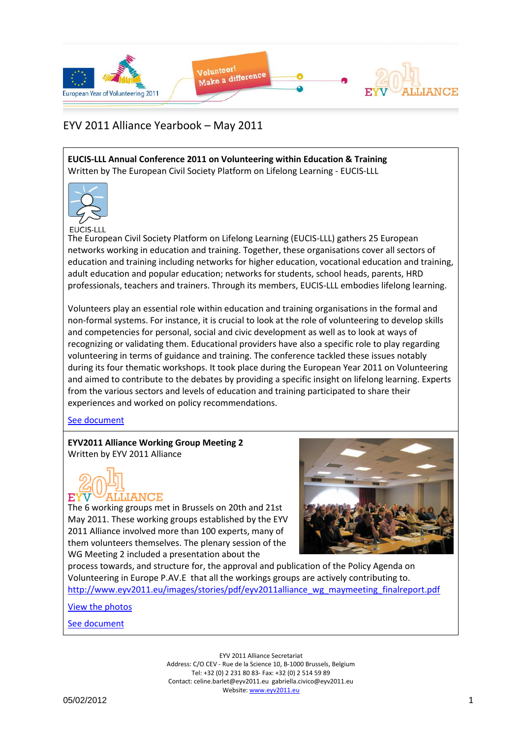

**EUCIS-LLL Annual Conference 2011 on Volunteering within Education & Training** Written by The European Civil Society Platform on Lifelong Learning - EUCIS-LLL



EUCIS-LLL

The European Civil Society Platform on Lifelong Learning (EUCIS-LLL) gathers 25 European networks working in education and training. Together, these organisations cover all sectors of education and training including networks for higher education, vocational education and training, adult education and popular education; networks for students, school heads, parents, HRD professionals, teachers and trainers. Through its members, EUCIS-LLL embodies lifelong learning.

Volunteers play an essential role within education and training organisations in the formal and non-formal systems. For instance, it is crucial to look at the role of volunteering to develop skills and competencies for personal, social and civic development as well as to look at ways of recognizing or validating them. Educational providers have also a specific role to play regarding volunteering in terms of guidance and training. The conference tackled these issues notably during its four thematic workshops. It took place during the European Year 2011 on Volunteering and aimed to contribute to the debates by providing a specific insight on lifelong learning. Experts from the various sectors and levels of education and training participated to share their experiences and worked on policy recommendations.

#### [See document](Yearbook_May2011_Docs/EUCIS_LLL_report_conference_krakow_small_EUCIS-LLL.pdf)

**EYV2011 Alliance Working Group Meeting 2** Written by EYV 2011 Alliance



The 6 working groups met in Brussels on 20th and 21st May 2011. These working groups established by the EYV 2011 Alliance involved more than 100 experts, many of them volunteers themselves. The plenary session of the WG Meeting 2 included a presentation about the



process towards, and structure for, the approval and publication of the Policy Agenda on Volunteering in Europe P.AV.E that all the workings groups are actively contributing to. [http://www.eyv2011.eu/images/stories/pdf/eyv2011alliance\\_wg\\_maymeeting\\_finalreport.pdf](http://www.eyv2011.eu/images/stories/pdf/eyv2011alliance_wg_maymeeting_finalreport.pdf)

[View the photos](http://www.facebook.com/media/set/?set=a.221293804549425.66472.212863205392485&type=1)

[See document](Yearbook_May2011_Docs/eyv2011alliance_wg_maymeeting_finalreport.pdf)

EYV 2011 Alliance Secretariat Address: C/O CEV - Rue de la Science 10, B-1000 Brussels, Belgium Tel: +32 (0) 2 231 80 83- Fax: +32 (0) 2 514 59 89 Contact: celine.barlet@eyv2011.eu gabriella.civico@eyv2011.eu Website: www.eyv2011.eu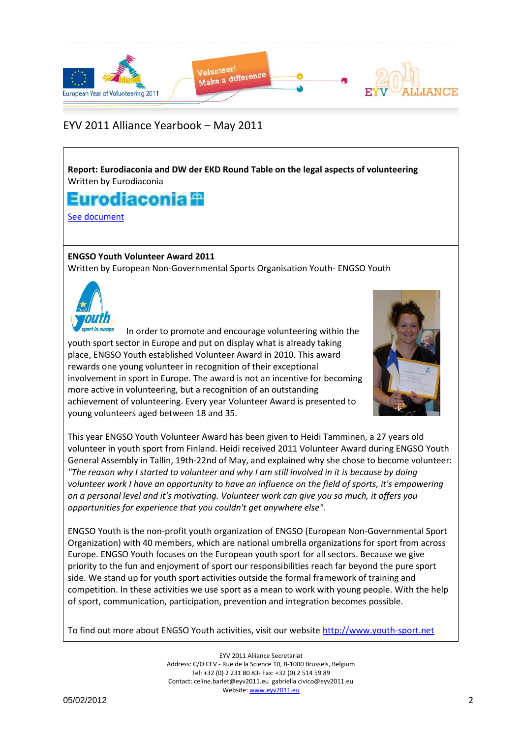

**Report: Eurodiaconia and DW der EKD Round Table on the legal aspects of volunteering** Written by Eurodiaconia

# Eurodiaconia **II**

[See document](Yearbook_May2011_Docs/Report_on_Round_Table_on_legal_aspects_of_volunteering_Eurodiaconia.pdf)

### **ENGSO Youth Volunteer Award 2011**

Written by European Non-Governmental Sports Organisation Youth- ENGSO Youth



In order to promote and encourage volunteering within the youth sport sector in Europe and put on display what is already taking place, ENGSO Youth established Volunteer Award in 2010. This award rewards one young volunteer in recognition of their exceptional involvement in sport in Europe. The award is not an incentive for becoming more active in volunteering, but a recognition of an outstanding achievement of volunteering. Every year Volunteer Award is presented to young volunteers aged between 18 and 35.



This year ENGSO Youth Volunteer Award has been given to Heidi Tamminen, a 27 years old volunteer in youth sport from Finland. Heidi received 2011 Volunteer Award during ENGSO Youth General Assembly in Tallin, 19th-22nd of May, and explained why she chose to become volunteer: *"The reason why I started to volunteer and why I am still involved in it is because by doing volunteer work I have an opportunity to have an influence on the field of sports, it's empowering on a personal level and it's motivating. Volunteer work can give you so much, it offers you opportunities for experience that you couldn't get anywhere else".*

ENGSO Youth is the non-profit youth organization of ENGSO (European Non-Governmental Sport Organization) with 40 members, which are national umbrella organizations for sport from across Europe. ENGSO Youth focuses on the European youth sport for all sectors. Because we give priority to the fun and enjoyment of sport our responsibilities reach far beyond the pure sport side. We stand up for youth sport activities outside the formal framework of training and competition. In these activities we use sport as a mean to work with young people. With the help of sport, communication, participation, prevention and integration becomes possible.

To find out more about ENGSO Youth activities, visit our website [http://www.youth-sport.net](http://www.youth-sport.net/)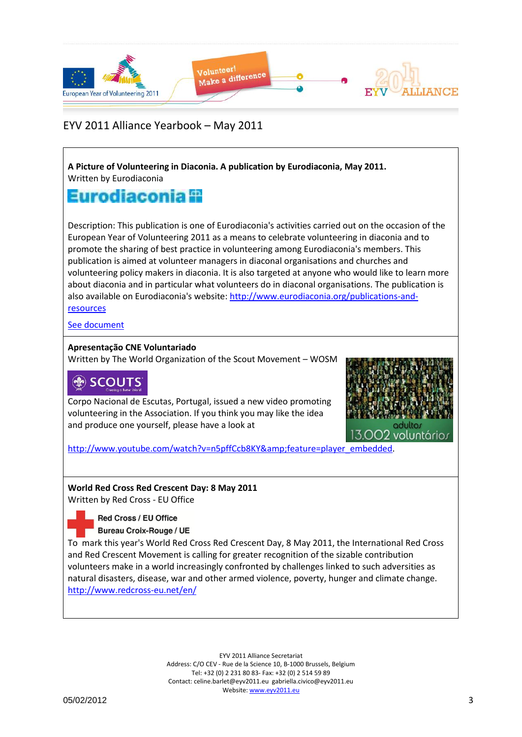

**A Picture of Volunteering in Diaconia. A publication by Eurodiaconia, May 2011.** Written by Eurodiaconia

## Eurodiaconia 9

Description: This publication is one of Eurodiaconia's activities carried out on the occasion of the European Year of Volunteering 2011 as a means to celebrate volunteering in diaconia and to promote the sharing of best practice in volunteering among Eurodiaconia's members. This publication is aimed at volunteer managers in diaconal organisations and churches and volunteering policy makers in diaconia. It is also targeted at anyone who would like to learn more about diaconia and in particular what volunteers do in diaconal organisations. The publication is also available on Eurodiaconia's website: [http://www.eurodiaconia.org/publications-and](http://www.eurodiaconia.org/publications-and-resources)[resources](http://www.eurodiaconia.org/publications-and-resources)

[See document](Yearbook_May2011_Docs/527_A_picture_of_volunteering_in_Diaconia_with_covers_for_website_Eurodiaconia.pdf)

#### **Apresentação CNE Voluntariado**

Written by The World Organization of the Scout Movement – WOSM

## **SCOUTS**

Corpo Nacional de Escutas, Portugal, issued a new video promoting volunteering in the Association. If you think you may like the idea and produce one yourself, please have a look at



[http://www.youtube.com/watch?v=n5pffCcb8KY&feature=player\\_embedded.](http://www.youtube.com/watch?v=n5pffCcb8KY&feature=player_embedded)

### **World Red Cross Red Crescent Day: 8 May 2011**

Written by Red Cross - EU Office

**Red Cross / EU Office Bureau Croix-Rouge / UE** 

To mark this year's World Red Cross Red Crescent Day, 8 May 2011, the International Red Cross and Red Crescent Movement is calling for greater recognition of the sizable contribution volunteers make in a world increasingly confronted by challenges linked to such adversities as natural disasters, disease, war and other armed violence, poverty, hunger and climate change. <http://www.redcross-eu.net/en/>

> EYV 2011 Alliance Secretariat Address: C/O CEV - Rue de la Science 10, B-1000 Brussels, Belgium Tel: +32 (0) 2 231 80 83- Fax: +32 (0) 2 514 59 89 Contact: celine.barlet@eyv2011.eu gabriella.civico@eyv2011.eu Website: www.eyv2011.eu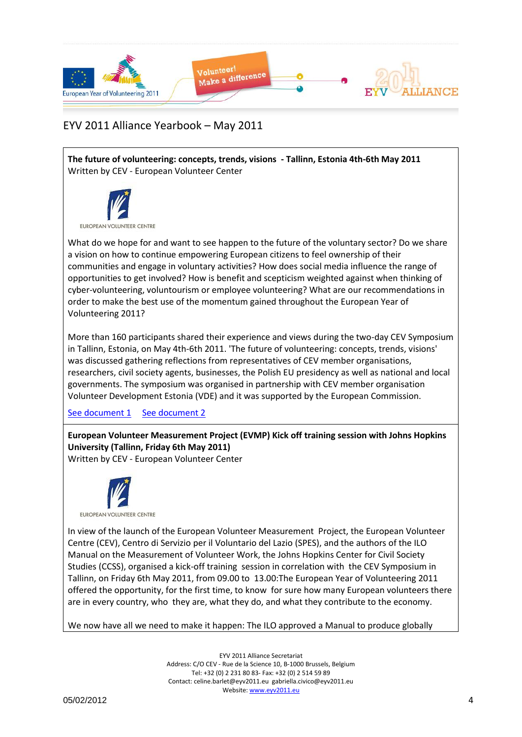

**The future of volunteering: concepts, trends, visions - Tallinn, Estonia 4th-6th May 2011** Written by CEV - European Volunteer Center



What do we hope for and want to see happen to the future of the voluntary sector? Do we share a vision on how to continue empowering European citizens to feel ownership of their communities and engage in voluntary activities? How does social media influence the range of opportunities to get involved? How is benefit and scepticism weighted against when thinking of cyber-volunteering, voluntourism or employee volunteering? What are our recommendations in order to make the best use of the momentum gained throughout the European Year of Volunteering 2011?

More than 160 participants shared their experience and views during the two-day CEV Symposium in Tallinn, Estonia, on May 4th-6th 2011. 'The future of volunteering: concepts, trends, visions' was discussed gathering reflections from representatives of CEV member organisations, researchers, civil society agents, businesses, the Polish EU presidency as well as national and local governments. The symposium was organised in partnership with CEV member organisation Volunteer Development Estonia (VDE) and it was supported by the European Commission.

[See document 1](Yearbook_May2011_Docs/Tallinn_Report_Final_CEV.pdf) [See document 2](Yearbook_May2011_Docs/CEV_Symposium_Tallinn2011_Programme_final_CEV.pdf)

**European Volunteer Measurement Project (EVMP) Kick off training session with Johns Hopkins University (Tallinn, Friday 6th May 2011)**

Written by CEV - European Volunteer Center



In view of the launch of the European Volunteer Measurement Project, the European Volunteer Centre (CEV), Centro di Servizio per il Voluntario del Lazio (SPES), and the authors of the ILO Manual on the Measurement of Volunteer Work, the Johns Hopkins Center for Civil Society Studies (CCSS), organised a kick-off training session in correlation with the CEV Symposium in Tallinn, on Friday 6th May 2011, from 09.00 to 13.00:The European Year of Volunteering 2011 offered the opportunity, for the first time, to know for sure how many European volunteers there are in every country, who they are, what they do, and what they contribute to the economy.

We now have all we need to make it happen: The ILO approved a Manual to produce globally

EYV 2011 Alliance Secretariat Address: C/O CEV - Rue de la Science 10, B-1000 Brussels, Belgium Tel: +32 (0) 2 231 80 83- Fax: +32 (0) 2 514 59 89 Contact: celine.barlet@eyv2011.eu gabriella.civico@eyv2011.eu Website: www.eyv2011.eu